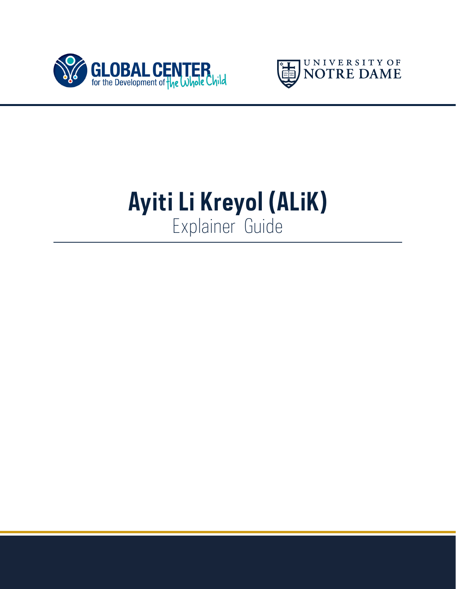



# **Ayiti Li Kreyol (ALiK)** Explainer Guide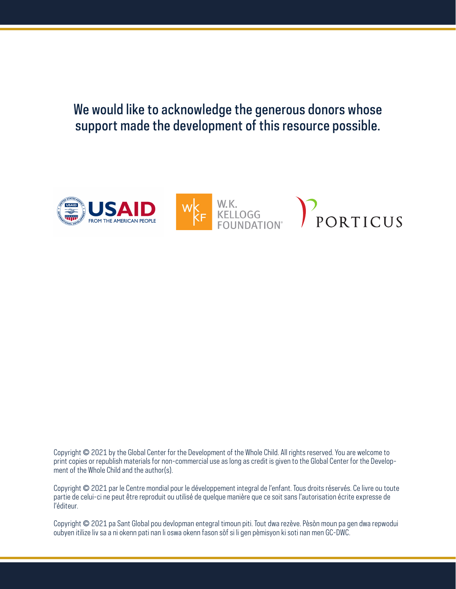We would like to acknowledge the generous donors whose support made the development of this resource possible.



Copyright © 2021 by the Global Center for the Development of the Whole Child. All rights reserved. You are welcome to print copies or republish materials for non-commercial use as long as credit is given to the Global Center for the Development of the Whole Child and the author(s).

Copyright © 2021 par le Centre mondial pour le développement integral de l'enfant. Tous droits réservés. Ce livre ou toute partie de celui-ci ne peut être reproduit ou utilisé de quelque manière que ce soit sans l'autorisation écrite expresse de l'éditeur.

Copyright © 2021 pa Sant Global pou devlopman entegral timoun piti. Tout dwa rezève. Pèsòn moun pa gen dwa repwodui oubyen itilize liv sa a ni okenn pati nan li oswa okenn fason sòf si li gen pèmisyon ki soti nan men GC-DWC.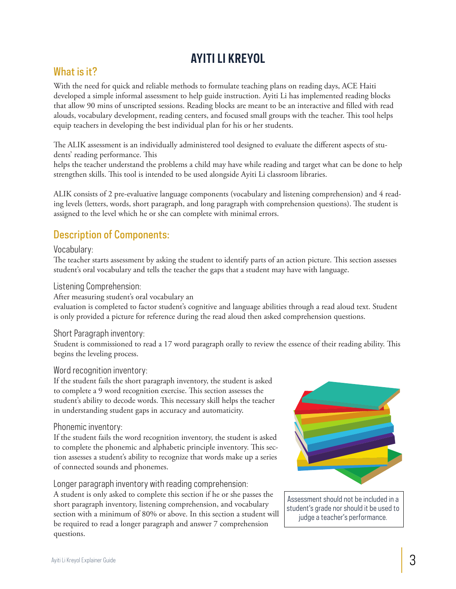## **AYITI LI KREYOL**

### What is it?

With the need for quick and reliable methods to formulate teaching plans on reading days, ACE Haiti developed a simple informal assessment to help guide instruction. Ayiti Li has implemented reading blocks that allow 90 mins of unscripted sessions. Reading blocks are meant to be an interactive and filled with read alouds, vocabulary development, reading centers, and focused small groups with the teacher. This tool helps equip teachers in developing the best individual plan for his or her students.

The ALIK assessment is an individually administered tool designed to evaluate the different aspects of students' reading performance. This

helps the teacher understand the problems a child may have while reading and target what can be done to help strengthen skills. This tool is intended to be used alongside Ayiti Li classroom libraries.

ALIK consists of 2 pre-evaluative language components (vocabulary and listening comprehension) and 4 reading levels (letters, words, short paragraph, and long paragraph with comprehension questions). The student is assigned to the level which he or she can complete with minimal errors.

## Description of Components:

#### Vocabulary:

The teacher starts assessment by asking the student to identify parts of an action picture. This section assesses student's oral vocabulary and tells the teacher the gaps that a student may have with language.

#### Listening Comprehension:

After measuring student's oral vocabulary an

evaluation is completed to factor student's cognitive and language abilities through a read aloud text. Student is only provided a picture for reference during the read aloud then asked comprehension questions.

#### Short Paragraph inventory:

Student is commissioned to read a 17 word paragraph orally to review the essence of their reading ability. This begins the leveling process.

#### Word recognition inventory:

If the student fails the short paragraph inventory, the student is asked to complete a 9 word recognition exercise. This section assesses the student's ability to decode words. This necessary skill helps the teacher in understanding student gaps in accuracy and automaticity.

#### Phonemic inventory:

If the student fails the word recognition inventory, the student is asked to complete the phonemic and alphabetic principle inventory. This section assesses a student's ability to recognize that words make up a series of connected sounds and phonemes.

#### Longer paragraph inventory with reading comprehension:

A student is only asked to complete this section if he or she passes the short paragraph inventory, listening comprehension, and vocabulary section with a minimum of 80% or above. In this section a student will be required to read a longer paragraph and answer 7 comprehension questions.



Assessment should not be included in a student's grade nor should it be used to judge a teacher's performance.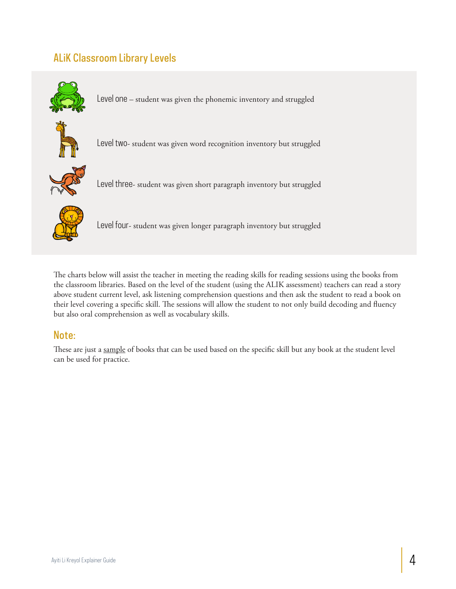## ALiK Classroom Library Levels



Level one – student was given the phonemic inventory and struggled



Level two- student was given word recognition inventory but struggled



Level three- student was given short paragraph inventory but struggled



Level four- student was given longer paragraph inventory but struggled

The charts below will assist the teacher in meeting the reading skills for reading sessions using the books from the classroom libraries. Based on the level of the student (using the ALIK assessment) teachers can read a story above student current level, ask listening comprehension questions and then ask the student to read a book on their level covering a specific skill. The sessions will allow the student to not only build decoding and fluency but also oral comprehension as well as vocabulary skills.

#### Note:

These are just a sample of books that can be used based on the specific skill but any book at the student level can be used for practice.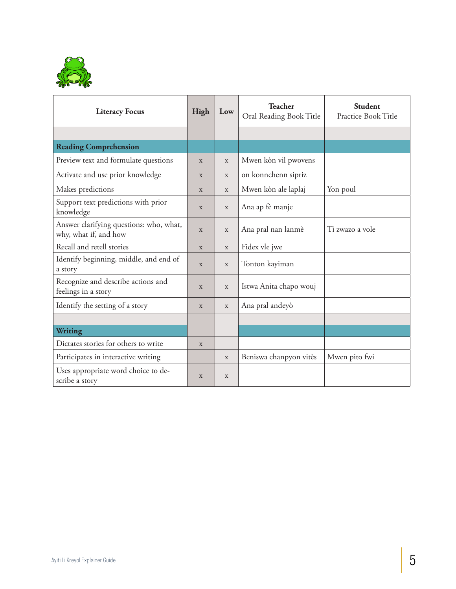

| <b>Literacy Focus</b>                                            | High         | Low          | <b>Teacher</b><br>Oral Reading Book Title | <b>Student</b><br>Practice Book Title |
|------------------------------------------------------------------|--------------|--------------|-------------------------------------------|---------------------------------------|
|                                                                  |              |              |                                           |                                       |
| <b>Reading Comprehension</b>                                     |              |              |                                           |                                       |
| Preview text and formulate questions                             | X            | X            | Mwen kòn vil pwovens                      |                                       |
| Activate and use prior knowledge                                 | X            | X            | on konnchenn sipriz                       |                                       |
| Makes predictions                                                | X            | X            | Mwen kòn ale laplaj                       | Yon poul                              |
| Support text predictions with prior<br>knowledge                 | X            | $\mathbf X$  | Ana ap fè manje                           |                                       |
| Answer clarifying questions: who, what,<br>why, what if, and how | X            | X            | Ana pral nan lanmè                        | Ti zwazo a vole                       |
| Recall and retell stories                                        | $\mathbf{x}$ | $\mathbf X$  | Fidex vle jwe                             |                                       |
| Identify beginning, middle, and end of<br>a story                | $\mathbf{x}$ | $\mathbf{x}$ | Tonton kayiman                            |                                       |
| Recognize and describe actions and<br>feelings in a story        | X            | X            | Istwa Anita chapo wouj                    |                                       |
| Identify the setting of a story                                  | $\mathbf X$  | $\mathbf X$  | Ana pral andeyò                           |                                       |
|                                                                  |              |              |                                           |                                       |
| <b>Writing</b>                                                   |              |              |                                           |                                       |
| Dictates stories for others to write                             | X            |              |                                           |                                       |
| Participates in interactive writing                              |              | X            | Beniswa chanpyon vitès                    | Mwen pito fwi                         |
| Uses appropriate word choice to de-<br>scribe a story            | X            | X            |                                           |                                       |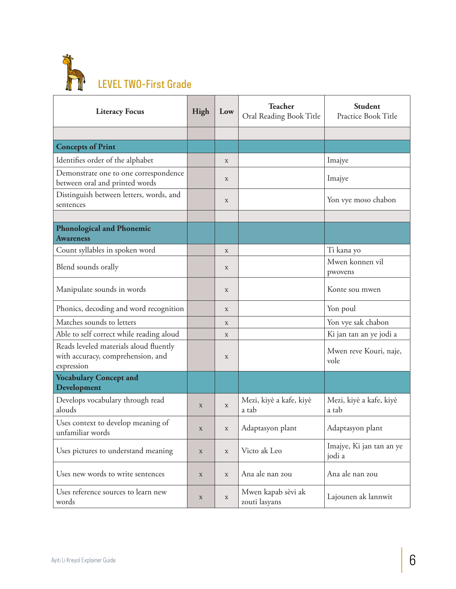

| <b>Literacy Focus</b>                                                                     | High        | Low         | <b>Teacher</b><br>Oral Reading Book Title | Student<br>Practice Book Title     |
|-------------------------------------------------------------------------------------------|-------------|-------------|-------------------------------------------|------------------------------------|
|                                                                                           |             |             |                                           |                                    |
| <b>Concepts of Print</b>                                                                  |             |             |                                           |                                    |
| Identifies order of the alphabet                                                          |             | $\mathbf X$ |                                           | Imajye                             |
| Demonstrate one to one correspondence<br>between oral and printed words                   |             | $\mathbf X$ |                                           | Imajye                             |
| Distinguish between letters, words, and<br>sentences                                      |             | $\mathbf X$ |                                           | Yon vye moso chabon                |
|                                                                                           |             |             |                                           |                                    |
| <b>Phonological and Phonemic</b><br><b>Awareness</b>                                      |             |             |                                           |                                    |
| Count syllables in spoken word                                                            |             | $\mathbf X$ |                                           | Ti kana yo                         |
| Blend sounds orally                                                                       |             | $\mathbf X$ |                                           | Mwen konnen vil<br>pwovens         |
| Manipulate sounds in words                                                                |             | X           |                                           | Konte sou mwen                     |
| Phonics, decoding and word recognition                                                    |             | X           |                                           | Yon poul                           |
| Matches sounds to letters                                                                 |             | $\mathbf X$ |                                           | Yon vye sak chabon                 |
| Able to self correct while reading aloud                                                  |             | $\mathbf X$ |                                           | Ki jan tan an ye jodi a            |
| Reads leveled materials aloud fluently<br>with accuracy, comprehension, and<br>expression |             | $\mathbf X$ |                                           | Mwen reve Kouri, naje,<br>vole     |
| <b>Vocabulary Concept and</b><br>Development                                              |             |             |                                           |                                    |
| Develops vocabulary through read<br>alouds                                                | $\mathbf X$ | $\mathbf X$ | Mezi, kiyè a kafe, kiyè<br>a tab          | Mezi, kiyè a kafe, kiyè<br>a tab   |
| Uses context to develop meaning of<br>unfamiliar words                                    | $\mathbf X$ | $\mathbf X$ | Adaptasyon plant                          | Adaptasyon plant                   |
| Uses pictures to understand meaning                                                       | $\mathbf X$ | $\mathbf X$ | Victo ak Leo                              | Imajye, Ki jan tan an ye<br>jodi a |
| Uses new words to write sentences                                                         | $\mathbf X$ | $\mathbf X$ | Ana ale nan zou                           | Ana ale nan zou                    |
| Uses reference sources to learn new<br>words                                              | $\mathbf X$ | $\mathbf X$ | Mwen kapab sèvi ak<br>zouti lasyans       | Lajounen ak lannwit                |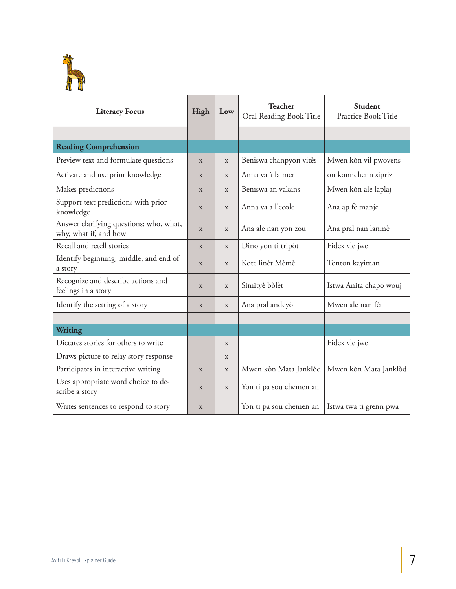

| <b>Literacy Focus</b>                                            | High        | Low          | <b>Teacher</b><br>Oral Reading Book Title | <b>Student</b><br>Practice Book Title |
|------------------------------------------------------------------|-------------|--------------|-------------------------------------------|---------------------------------------|
|                                                                  |             |              |                                           |                                       |
| <b>Reading Comprehension</b>                                     |             |              |                                           |                                       |
| Preview text and formulate questions                             | X           | $\mathbf X$  | Beniswa chanpyon vitès                    | Mwen kòn vil pwovens                  |
| Activate and use prior knowledge                                 | X           | X            | Anna va à la mer                          | on konnchenn sipriz                   |
| Makes predictions                                                | X           | X            | Beniswa an vakans                         | Mwen kòn ale laplaj                   |
| Support text predictions with prior<br>knowledge                 | X           | $\mathbf{x}$ | Anna va a l'ecole                         | Ana ap fè manje                       |
| Answer clarifying questions: who, what,<br>why, what if, and how | X           | $\mathbf x$  | Ana ale nan yon zou                       | Ana pral nan lanmè                    |
| Recall and retell stories                                        | X           | X            | Dino yon ti tripòt                        | Fidex vle jwe                         |
| Identify beginning, middle, and end of<br>a story                | X           | $\mathbf{x}$ | Kote linèt Mèmè                           | Tonton kayiman                        |
| Recognize and describe actions and<br>feelings in a story        | X           | X            | Simityè bòlèt                             | Istwa Anita chapo wouj                |
| Identify the setting of a story                                  | $\mathbf X$ | $\mathbf X$  | Ana pral andeyò                           | Mwen ale nan fèt                      |
|                                                                  |             |              |                                           |                                       |
| Writing                                                          |             |              |                                           |                                       |
| Dictates stories for others to write                             |             | X            |                                           | Fidex vle jwe                         |
| Draws picture to relay story response                            |             | $\mathbf X$  |                                           |                                       |
| Participates in interactive writing                              | X           | X            | Mwen kòn Mata Janklòd                     | Mwen kòn Mata Janklòd                 |
| Uses appropriate word choice to de-<br>scribe a story            | X           | $\mathbf X$  | Yon ti pa sou chemen an                   |                                       |
| Writes sentences to respond to story                             | $\mathbf X$ |              | Yon ti pa sou chemen an                   | Istwa twa ti grenn pwa                |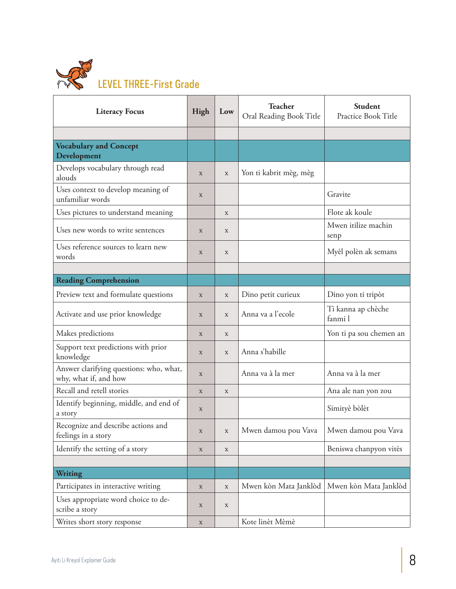

| <b>Literacy Focus</b>                                            | High        | Low         | <b>Teacher</b><br>Oral Reading Book Title | Student<br>Practice Book Title |
|------------------------------------------------------------------|-------------|-------------|-------------------------------------------|--------------------------------|
|                                                                  |             |             |                                           |                                |
| <b>Vocabulary and Concept</b><br>Development                     |             |             |                                           |                                |
| Develops vocabulary through read<br>alouds                       | $\mathbf X$ | $\mathbf X$ | Yon ti kabrit mèg, mèg                    |                                |
| Uses context to develop meaning of<br>unfamiliar words           | $\mathbf X$ |             |                                           | Gravite                        |
| Uses pictures to understand meaning                              |             | $\mathbf X$ |                                           | Flote ak koule                 |
| Uses new words to write sentences                                | $\mathbf X$ | $\mathbf X$ |                                           | Mwen itilize machin<br>senp    |
| Uses reference sources to learn new<br>words                     | $\mathbf X$ | X           |                                           | Myèl polèn ak semans           |
|                                                                  |             |             |                                           |                                |
| <b>Reading Comprehension</b>                                     |             |             |                                           |                                |
| Preview text and formulate questions                             | $\mathbf X$ | $\mathbf X$ | Dino petit curieux                        | Dino yon ti tripòt             |
| Activate and use prior knowledge                                 | $\mathbf X$ | X           | Anna va a l'ecole                         | Ti kanna ap chèche<br>fanmi l  |
| Makes predictions                                                | X           | $\mathbf X$ |                                           | Yon ti pa sou chemen an        |
| Support text predictions with prior<br>knowledge                 | X           | X           | Anna s'habille                            |                                |
| Answer clarifying questions: who, what,<br>why, what if, and how | $\mathbf X$ |             | Anna va à la mer                          | Anna va à la mer               |
| Recall and retell stories                                        | $\mathbf X$ | $\mathbf X$ |                                           | Ana ale nan yon zou            |
| Identify beginning, middle, and end of<br>a story                | $\mathbf X$ |             |                                           | Simityè bòlèt                  |
| Recognize and describe actions and<br>feelings in a story        | $\mathbf X$ | X           | Mwen damou pou Vava   Mwen damou pou Vava |                                |
| Identify the setting of a story                                  | $\mathbf X$ | $\mathbf X$ |                                           | Beniswa chanpyon vitès         |
| Writing                                                          |             |             |                                           |                                |
| Participates in interactive writing                              | $\mathbf X$ | $\mathbf X$ | Mwen kòn Mata Janklòd                     | Mwen kòn Mata Janklòd          |
| Uses appropriate word choice to de-<br>scribe a story            | $\mathbf X$ | $\mathbf X$ |                                           |                                |
| Writes short story response                                      | $\mathbf X$ |             | Kote linèt Mèmè                           |                                |